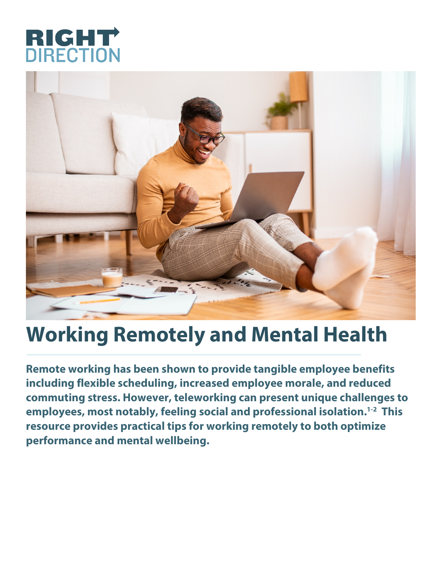



## **Working Remotely and Mental Health**

**Remote working has been shown to provide tangible employee benefits including flexible scheduling, increased employee morale, and reduced commuting stress. However, teleworking can present unique challenges to employees, most notably, feeling social and professional isolation.1-2 This resource provides practical tips for working remotely to both optimize performance and mental wellbeing.**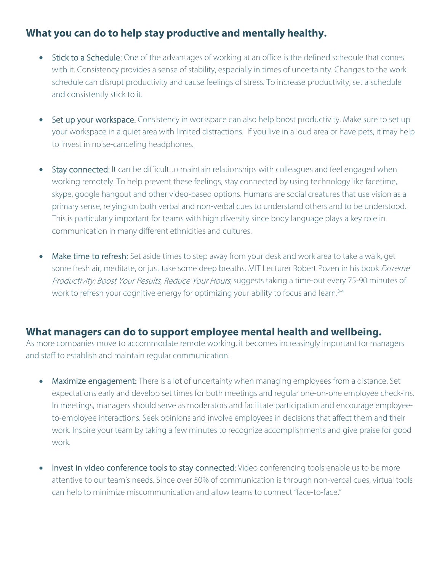## **What you can do to help stay productive and mentally healthy.**

- Stick to a Schedule: One of the advantages of working at an office is the defined schedule that comes with it. Consistency provides a sense of stability, especially in times of uncertainty. Changes to the work schedule can disrupt productivity and cause feelings of stress. To increase productivity, set a schedule and consistently stick to it.
- Set up your workspace: Consistency in workspace can also help boost productivity. Make sure to set up your workspace in a quiet area with limited distractions. If you live in a loud area or have pets, it may help to invest in noise-canceling headphones.
- Stay connected: It can be difficult to maintain relationships with colleagues and feel engaged when working remotely. To help prevent these feelings, stay connected by using technology like facetime, skype, google hangout and other video-based options. Humans are social creatures that use vision as a primary sense, relying on both verbal and non-verbal cues to understand others and to be understood. This is particularly important for teams with high diversity since body language plays a key role in communication in many different ethnicities and cultures.
- Make time to refresh: Set aside times to step away from your desk and work area to take a walk, get some fresh air, meditate, or just take some deep breaths. MIT Lecturer Robert Pozen in his book Extreme Productivity: Boost Your Results, Reduce Your Hours, suggests taking a time-out every 75-90 minutes of work to refresh your cognitive energy for optimizing your ability to focus and learn.<sup>3-4</sup>

## **What managers can do to support employee mental health and wellbeing.**

As more companies move to accommodate remote working, it becomes increasingly important for managers and staff to establish and maintain regular communication.

- Maximize engagement: There is a lot of uncertainty when managing employees from a distance. Set expectations early and develop set times for both meetings and regular one-on-one employee check-ins. In meetings, managers should serve as moderators and facilitate participation and encourage employeeto-employee interactions. Seek opinions and involve employees in decisions that affect them and their work. Inspire your team by taking a few minutes to recognize accomplishments and give praise for good work.
- Invest in video conference tools to stay connected: Video conferencing tools enable us to be more attentive to our team's needs. Since over 50% of communication is through non-verbal cues, virtual tools can help to minimize miscommunication and allow teams to connect "face-to-face."